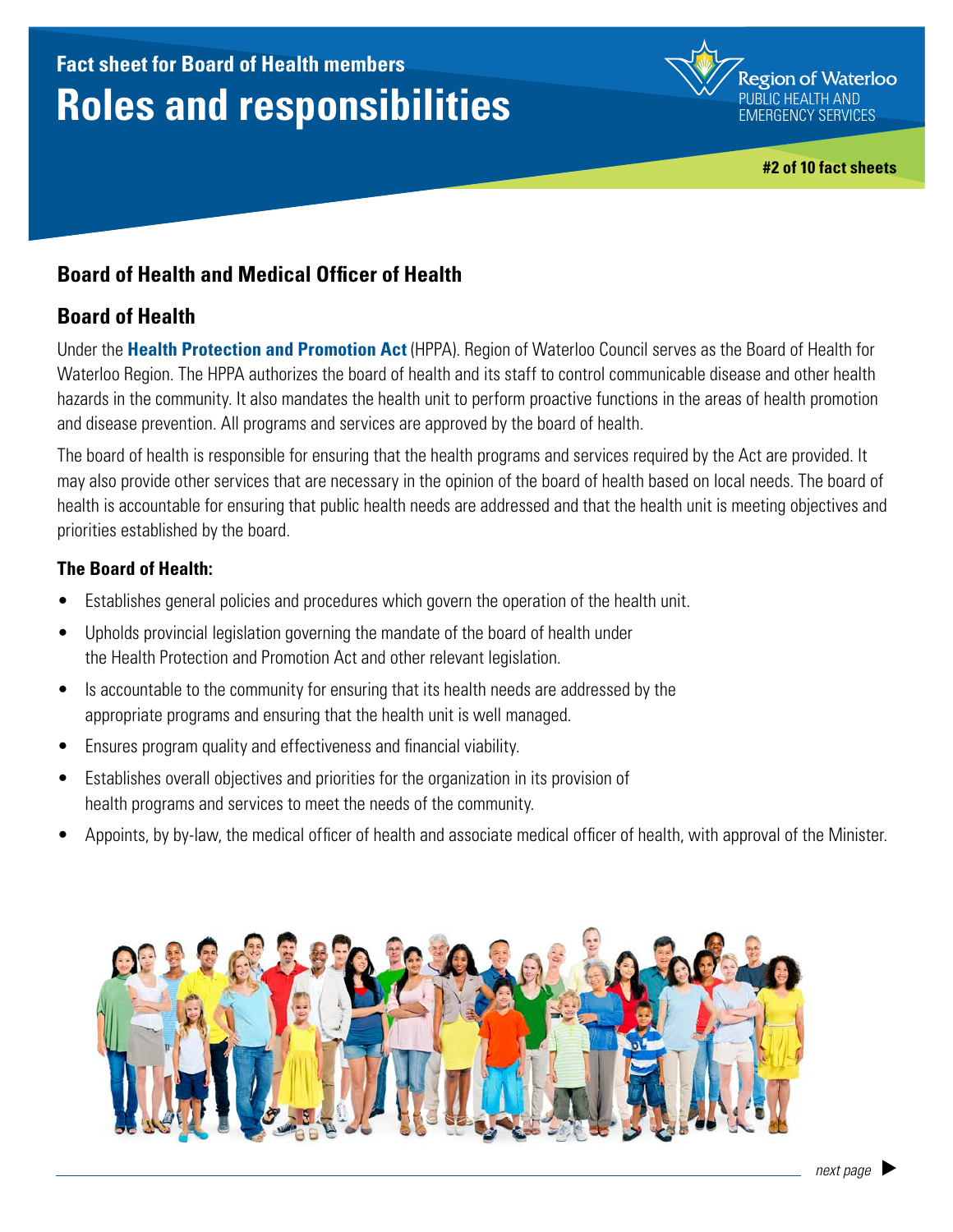# **Fact sheet for Board of Health members Roles and responsibilities PUBLIC HEALTH AND <b>ROLES and responsibilities**



**#2 of 10 fact sheets**

## **Board of Health and Medical Officer of Health**

### **Board of Health**

Under the **[Health Protection and Promotion Act](http://www.e-laws.gov.on.ca/html/statutes/english/elaws_statutes_90h07_e.htm)** (HPPA). Region of Waterloo Council serves as the Board of Health for Waterloo Region. The HPPA authorizes the board of health and its staff to control communicable disease and other health hazards in the community. It also mandates the health unit to perform proactive functions in the areas of health promotion and disease prevention. All programs and services are approved by the board of health.

The board of health is responsible for ensuring that the health programs and services required by the Act are provided. It may also provide other services that are necessary in the opinion of the board of health based on local needs. The board of health is accountable for ensuring that public health needs are addressed and that the health unit is meeting objectives and priorities established by the board.

#### **The Board of Health:**

- Establishes general policies and procedures which govern the operation of the health unit.
- Upholds provincial legislation governing the mandate of the board of health under the Health Protection and Promotion Act and other relevant legislation.
- Is accountable to the community for ensuring that its health needs are addressed by the appropriate programs and ensuring that the health unit is well managed.
- Ensures program quality and effectiveness and financial viability.
- Establishes overall objectives and priorities for the organization in its provision of health programs and services to meet the needs of the community.
- Appoints, by by-law, the medical officer of health and associate medical officer of health, with approval of the Minister.